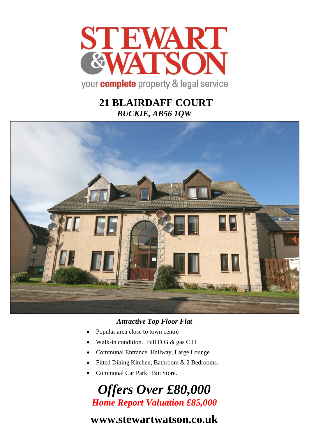

## **21 BLAIRDAFF COURT** *BUCKIE, AB56 1QW*



## *Attractive Top Floor Flat*

- Popular area close to town centre
- Walk-in condition. Full D.G & gas C.H
- Communal Entrance, Hallway, Large Lounge
- Fitted Dining Kitchen, Bathroom & 2 Bedrooms.
- Communal Car Park. Bin Store.

# *Offers Over £80,000 Home Report Valuation £85,000*

# **www.stewartwatson.co.uk**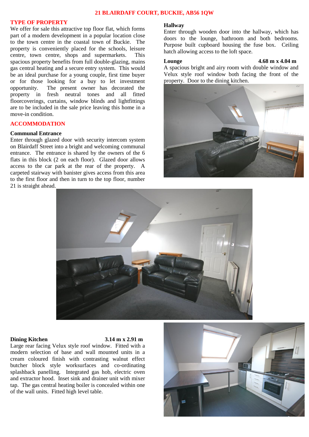### **21 BLAIRDAFF COURT, BUCKIE, AB56 1QW**

### **TYPE OF PROPERTY**

We offer for sale this attractive top floor flat, which forms part of a modern development in a popular location close to the town centre in the coastal town of Buckie. The property is conveniently placed for the schools, leisure centre, town centre, shops and supermarkets. This spacious property benefits from full double-glazing, mains gas central heating and a secure entry system. This would be an ideal purchase for a young couple, first time buyer or for those looking for a buy to let investment opportunity. The present owner has decorated the property in fresh neutral tones and all fitted floorcoverings, curtains, window blinds and lightfittings are to be included in the sale price leaving this home in a move-in condition.

### **ACCOMMODATION**

### **Communal Entrance**

Enter through glazed door with security intercom system on Blairdaff Street into a bright and welcoming communal entrance. The entrance is shared by the owners of the 6 flats in this block (2 on each floor). Glazed door allows access to the car park at the rear of the property. A carpeted stairway with banister gives access from this area to the first floor and then in turn to the top floor, number 21 is straight ahead.

### **Hallway**

Enter through wooden door into the hallway, which has doors to the lounge, bathroom and both bedrooms. Purpose built cupboard housing the fuse box. Ceiling hatch allowing access to the loft space.

### **Lounge 4.68 m x 4.04 m**

A spacious bright and airy room with double window and Velux style roof window both facing the front of the property. Door to the dining kitchen.





### **Dining Kitchen 3.14 m x 2.91 m**

Large rear facing Velux style roof window. Fitted with a modern selection of base and wall mounted units in a cream coloured finish with contrasting walnut effect butcher block style worksurfaces and co-ordinating splashback panelling. Integrated gas hob, electric oven and extractor hood. Inset sink and drainer unit with mixer tap. The gas central heating boiler is concealed within one of the wall units. Fitted high level table.

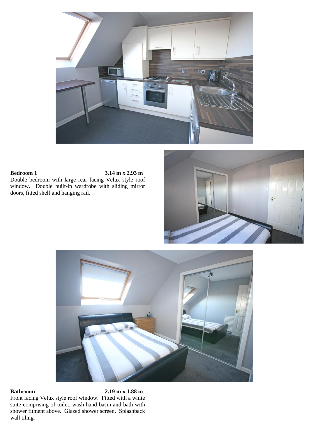

**Bedroom 1 3.14 m x 2.93 m** Double bedroom with large rear facing Velux style roof window. Double built-in wardrobe with sliding mirror doors, fitted shelf and hanging rail.





### **Bathroom 2.19 m x 1.88 m**

Front facing Velux style roof window. Fitted with a white suite comprising of toilet, wash-hand basin and bath with shower fitment above. Glazed shower screen. Splashback wall tiling.